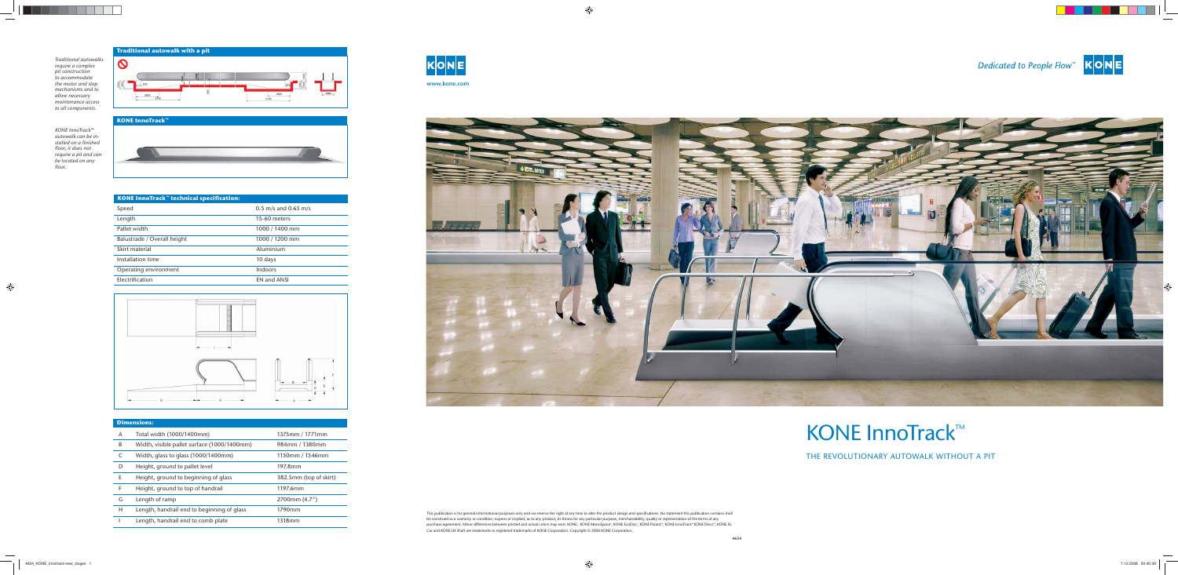This publication is for general informational purposes only and we reserve the right at any time to alter the product design and specifications. No statement this publication contains shall be construed as a warranty or condition, express or implied, as to any product, its fitness for any particular purpose, merchantability, quality or representation of the terms of any purchase agreement. Minor differences between printed and actual colors may exist. KONE, KONE MonoSpace<sup>®</sup>, KONE EcoDisc<sup>®</sup>, KONE Polaris™, KONE InnoTrack™ KONE Deco™, KONE XL Car and KONE LH Shaft are trademarks or registered trademarks of KONE Corporation. Copyright © 2006 KONE Corporation.



# KONE InnoTrack™

THE REVOLUTIONARY AUTOWALK WITHOUT A PIT





*Traditional autowalks require a complex pit construction to accommodate the motor and step mechanisms and to allow necessary maintenance access to all components.*



## **KONE InnoTrack™**





| <b>Dimensions:</b> |                                             |                        |
|--------------------|---------------------------------------------|------------------------|
| A                  | Total width (1000/1400mm)                   | 1375mm / 1771mm        |
| B                  | Width, visible pallet surface (1000/1400mm) | 984mm / 1380mm         |
|                    | Width, glass to glass (1000/1400mm)         | 1150mm / 1546mm        |
| D                  | Height, ground to pallet level              | 197.8mm                |
| E                  | Height, ground to beginning of glass        | 382.5mm (top of skirt) |
| F                  | Height, ground to top of handrail           | 1197.6mm               |
| G                  | Length of ramp                              | 2700mm $(4.7^{\circ})$ |
| Н                  | Length, handrail end to beginning of glass  | 1790mm                 |
|                    | Length, handrail end to comb plate          | 1318mm                 |

| <b>KONE InnoTrack<sup>™</sup> technical specification:</b> |                      |  |
|------------------------------------------------------------|----------------------|--|
| Speed                                                      | 0.5 m/s and 0.65 m/s |  |
| Length                                                     | 15-60 meters         |  |
| Pallet width                                               | 1000 / 1400 mm       |  |
| Balustrade / Overall height                                | 1000 / 1200 mm       |  |
| Skirt material                                             | Aluminium            |  |
| Installation time                                          | 10 days              |  |
| Operating environment                                      | Indoors              |  |
| Electrification                                            | <b>EN and ANSI</b>   |  |